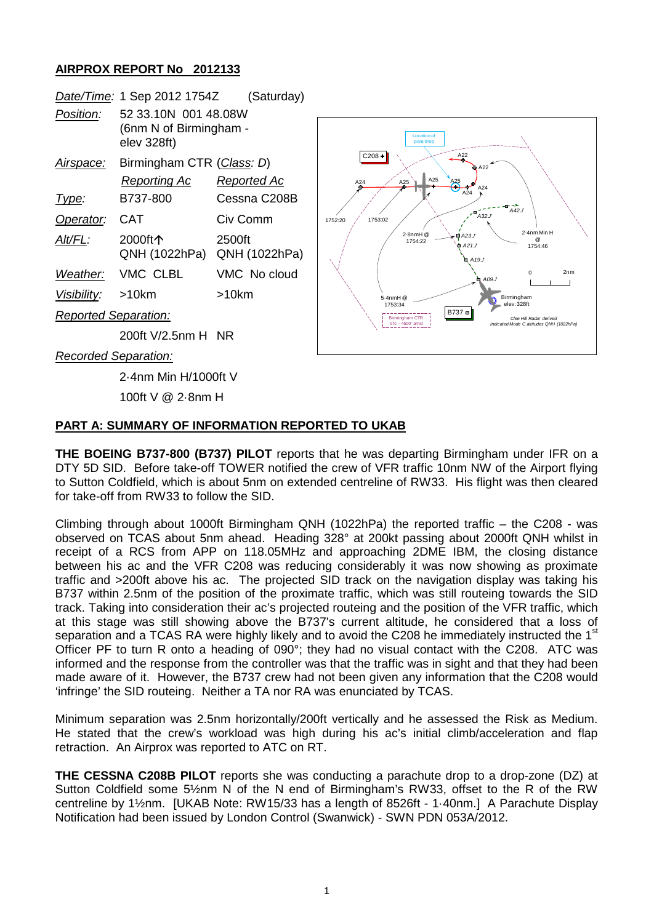## **AIRPROX REPORT No 2012133**

|                             | Date/Time: 1 Sep 2012 1754Z                                   | (Saturday)              |
|-----------------------------|---------------------------------------------------------------|-------------------------|
| Position:                   | 52 33.10N 001 48.08W<br>(6nm N of Birmingham -<br>elev 328ft) |                         |
| Airspace:                   | Birmingham CTR (Class: D)                                     |                         |
|                             | Reporting Ac                                                  | Reported Ac             |
| Type:                       | B737-800                                                      | Cessna C208B            |
| Operator:                   | CAT                                                           | Civ Comm                |
| Alt/FL:                     | 2000ft个<br>QNH (1022hPa)                                      | 2500ft<br>QNH (1022hPa) |
| Weather:                    | VMC CLBL                                                      | VMC No cloud            |
| Visibility:                 | >10km                                                         | >10km                   |
| <b>Reported Separation:</b> |                                                               |                         |

200ft V/2.5nm H NR

*Recorded Separation:*

2·4nm Min H/1000ft V

100ft V @ 2·8nm H

## **PART A: SUMMARY OF INFORMATION REPORTED TO UKAB**

**THE BOEING B737-800 (B737) PILOT** reports that he was departing Birmingham under IFR on a DTY 5D SID. Before take-off TOWER notified the crew of VFR traffic 10nm NW of the Airport flying to Sutton Coldfield, which is about 5nm on extended centreline of RW33. His flight was then cleared for take-off from RW33 to follow the SID.

Climbing through about 1000ft Birmingham QNH (1022hPa) the reported traffic – the C208 - was observed on TCAS about 5nm ahead. Heading 328° at 200kt passing about 2000ft QNH whilst in receipt of a RCS from APP on 118.05MHz and approaching 2DME IBM, the closing distance between his ac and the VFR C208 was reducing considerably it was now showing as proximate traffic and >200ft above his ac. The projected SID track on the navigation display was taking his B737 within 2.5nm of the position of the proximate traffic, which was still routeing towards the SID track. Taking into consideration their ac's projected routeing and the position of the VFR traffic, which at this stage was still showing above the B737's current altitude, he considered that a loss of separation and a TCAS RA were highly likely and to avoid the C208 he immediately instructed the 1<sup>st</sup> Officer PF to turn R onto a heading of 090°; they had no visual contact with the C208. ATC was informed and the response from the controller was that the traffic was in sight and that they had been made aware of it. However, the B737 crew had not been given any information that the C208 would 'infringe' the SID routeing. Neither a TA nor RA was enunciated by TCAS.

Minimum separation was 2.5nm horizontally/200ft vertically and he assessed the Risk as Medium. He stated that the crew's workload was high during his ac's initial climb/acceleration and flap retraction. An Airprox was reported to ATC on RT.

**THE CESSNA C208B PILOT** reports she was conducting a parachute drop to a drop-zone (DZ) at Sutton Coldfield some 5½nm N of the N end of Birmingham's RW33, offset to the R of the RW centreline by 1½nm. [UKAB Note: RW15/33 has a length of 8526ft - 1·40nm.] A Parachute Display Notification had been issued by London Control (Swanwick) - SWN PDN 053A/2012.

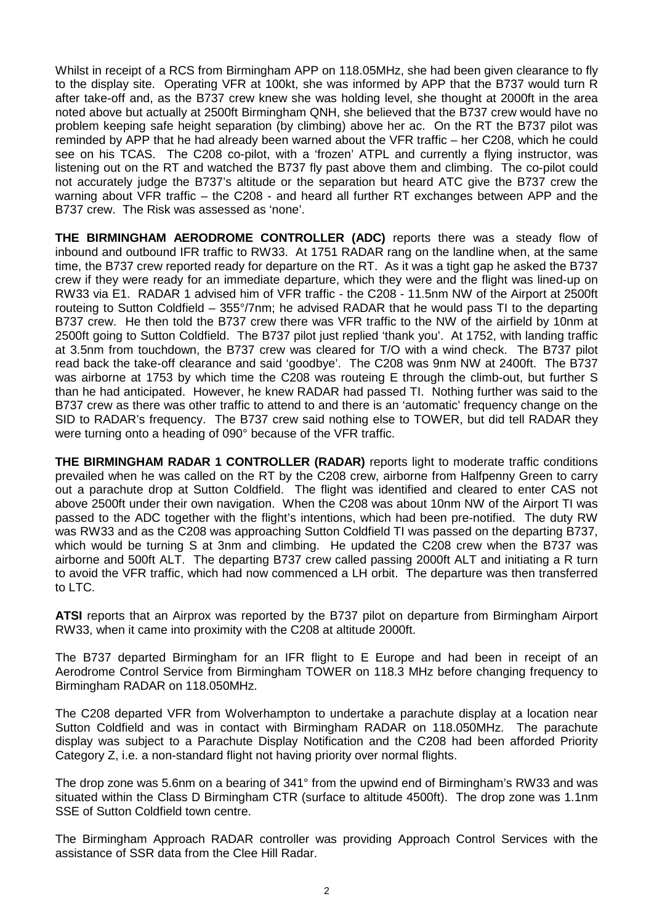Whilst in receipt of a RCS from Birmingham APP on 118.05MHz, she had been given clearance to fly to the display site. Operating VFR at 100kt, she was informed by APP that the B737 would turn R after take-off and, as the B737 crew knew she was holding level, she thought at 2000ft in the area noted above but actually at 2500ft Birmingham QNH, she believed that the B737 crew would have no problem keeping safe height separation (by climbing) above her ac. On the RT the B737 pilot was reminded by APP that he had already been warned about the VFR traffic – her C208, which he could see on his TCAS. The C208 co-pilot, with a 'frozen' ATPL and currently a flying instructor, was listening out on the RT and watched the B737 fly past above them and climbing. The co-pilot could not accurately judge the B737's altitude or the separation but heard ATC give the B737 crew the warning about VFR traffic – the C208 - and heard all further RT exchanges between APP and the B737 crew. The Risk was assessed as 'none'.

**THE BIRMINGHAM AERODROME CONTROLLER (ADC)** reports there was a steady flow of inbound and outbound IFR traffic to RW33. At 1751 RADAR rang on the landline when, at the same time, the B737 crew reported ready for departure on the RT. As it was a tight gap he asked the B737 crew if they were ready for an immediate departure, which they were and the flight was lined-up on RW33 via E1. RADAR 1 advised him of VFR traffic - the C208 - 11.5nm NW of the Airport at 2500ft routeing to Sutton Coldfield – 355°/7nm; he advised RADAR that he would pass TI to the departing B737 crew. He then told the B737 crew there was VFR traffic to the NW of the airfield by 10nm at 2500ft going to Sutton Coldfield. The B737 pilot just replied 'thank you'. At 1752, with landing traffic at 3.5nm from touchdown, the B737 crew was cleared for T/O with a wind check. The B737 pilot read back the take-off clearance and said 'goodbye'. The C208 was 9nm NW at 2400ft. The B737 was airborne at 1753 by which time the C208 was routeing E through the climb-out, but further S than he had anticipated. However, he knew RADAR had passed TI. Nothing further was said to the B737 crew as there was other traffic to attend to and there is an 'automatic' frequency change on the SID to RADAR's frequency. The B737 crew said nothing else to TOWER, but did tell RADAR they were turning onto a heading of 090° because of the VFR traffic.

**THE BIRMINGHAM RADAR 1 CONTROLLER (RADAR)** reports light to moderate traffic conditions prevailed when he was called on the RT by the C208 crew, airborne from Halfpenny Green to carry out a parachute drop at Sutton Coldfield. The flight was identified and cleared to enter CAS not above 2500ft under their own navigation. When the C208 was about 10nm NW of the Airport TI was passed to the ADC together with the flight's intentions, which had been pre-notified. The duty RW was RW33 and as the C208 was approaching Sutton Coldfield TI was passed on the departing B737, which would be turning S at 3nm and climbing. He updated the C208 crew when the B737 was airborne and 500ft ALT. The departing B737 crew called passing 2000ft ALT and initiating a R turn to avoid the VFR traffic, which had now commenced a LH orbit. The departure was then transferred to LTC.

**ATSI** reports that an Airprox was reported by the B737 pilot on departure from Birmingham Airport RW33, when it came into proximity with the C208 at altitude 2000ft.

The B737 departed Birmingham for an IFR flight to E Europe and had been in receipt of an Aerodrome Control Service from Birmingham TOWER on 118.3 MHz before changing frequency to Birmingham RADAR on 118.050MHz.

The C208 departed VFR from Wolverhampton to undertake a parachute display at a location near Sutton Coldfield and was in contact with Birmingham RADAR on 118.050MHz. The parachute display was subject to a Parachute Display Notification and the C208 had been afforded Priority Category Z, i.e. a non-standard flight not having priority over normal flights.

The drop zone was 5.6nm on a bearing of 341° from the upwind end of Birmingham's RW33 and was situated within the Class D Birmingham CTR (surface to altitude 4500ft). The drop zone was 1.1nm SSE of Sutton Coldfield town centre.

The Birmingham Approach RADAR controller was providing Approach Control Services with the assistance of SSR data from the Clee Hill Radar.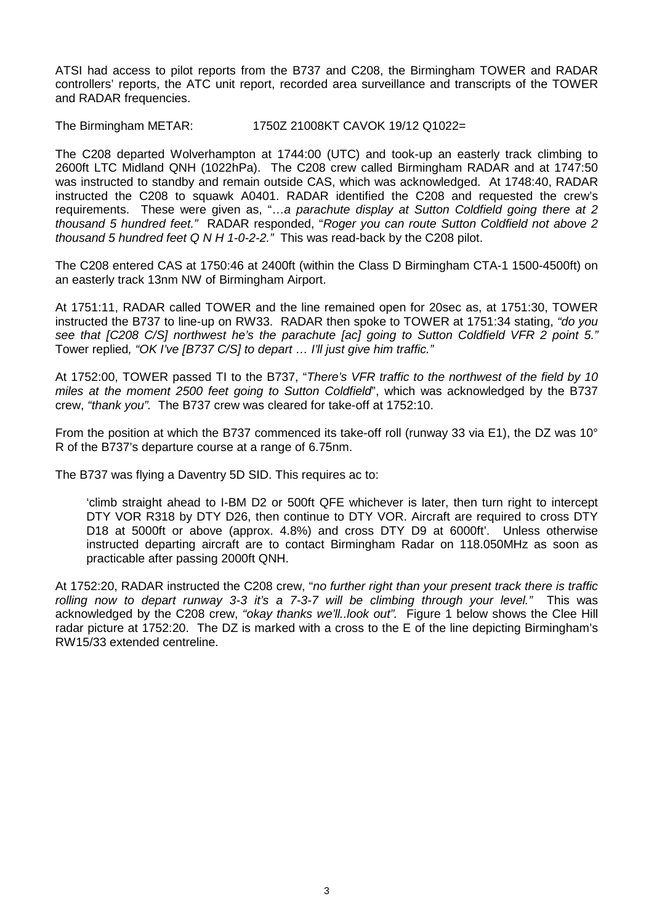ATSI had access to pilot reports from the B737 and C208, the Birmingham TOWER and RADAR controllers' reports, the ATC unit report, recorded area surveillance and transcripts of the TOWER and RADAR frequencies.

The Birmingham METAR: 1750Z 21008KT CAVOK 19/12 Q1022=

The C208 departed Wolverhampton at 1744:00 (UTC) and took-up an easterly track climbing to 2600ft LTC Midland QNH (1022hPa). The C208 crew called Birmingham RADAR and at 1747:50 was instructed to standby and remain outside CAS, which was acknowledged. At 1748:40, RADAR instructed the C208 to squawk A0401. RADAR identified the C208 and requested the crew's requirements. These were given as, "…*a parachute display at Sutton Coldfield going there at 2 thousand 5 hundred feet."* RADAR responded, "*Roger you can route Sutton Coldfield not above 2 thousand 5 hundred feet Q N H 1-0-2-2."* This was read-back by the C208 pilot.

The C208 entered CAS at 1750:46 at 2400ft (within the Class D Birmingham CTA-1 1500-4500ft) on an easterly track 13nm NW of Birmingham Airport.

At 1751:11, RADAR called TOWER and the line remained open for 20sec as, at 1751:30, TOWER instructed the B737 to line-up on RW33. RADAR then spoke to TOWER at 1751:34 stating, *"do you see that [C208 C/S] northwest he's the parachute [ac] going to Sutton Coldfield VFR 2 point 5."* Tower replied*, "OK I've [B737 C/S] to depart … I'll just give him traffic."*

At 1752:00, TOWER passed TI to the B737, "*There's VFR traffic to the northwest of the field by 10 miles at the moment 2500 feet going to Sutton Coldfield*", which was acknowledged by the B737 crew, *"thank you".* The B737 crew was cleared for take-off at 1752:10.

From the position at which the B737 commenced its take-off roll (runway 33 via E1), the DZ was 10° R of the B737's departure course at a range of 6.75nm.

The B737 was flying a Daventry 5D SID. This requires ac to:

'climb straight ahead to I-BM D2 or 500ft QFE whichever is later, then turn right to intercept DTY VOR R318 by DTY D26, then continue to DTY VOR. Aircraft are required to cross DTY D18 at 5000ft or above (approx. 4.8%) and cross DTY D9 at 6000ft'. Unless otherwise instructed departing aircraft are to contact Birmingham Radar on 118.050MHz as soon as practicable after passing 2000ft QNH.

At 1752:20, RADAR instructed the C208 crew, "*no further right than your present track there is traffic rolling now to depart runway 3-3 it's a 7-3-7 will be climbing through your level."* This was acknowledged by the C208 crew, *"okay thanks we'll..look out".* Figure 1 below shows the Clee Hill radar picture at 1752:20. The DZ is marked with a cross to the E of the line depicting Birmingham's RW15/33 extended centreline.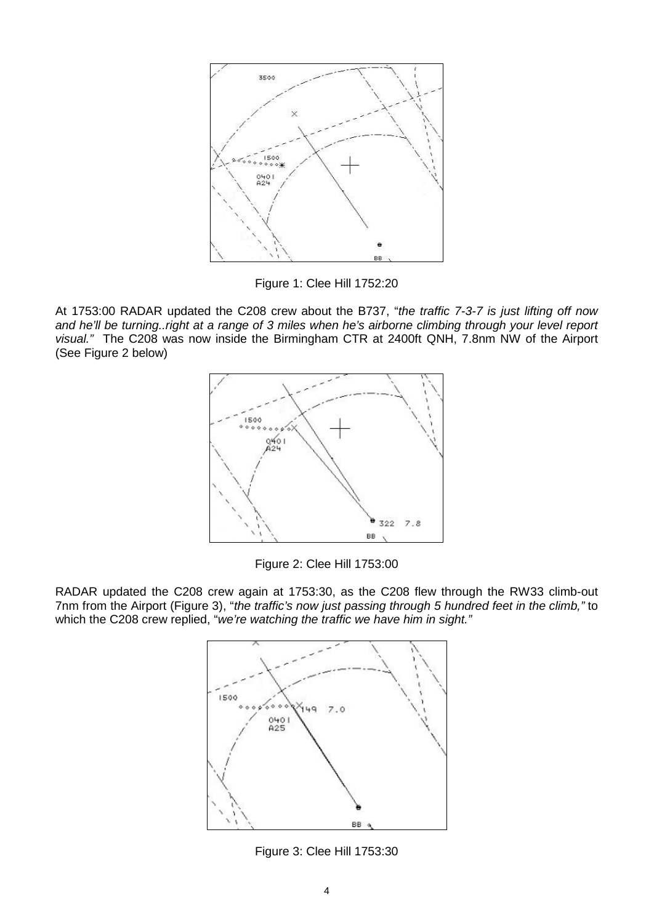

Figure 1: Clee Hill 1752:20

At 1753:00 RADAR updated the C208 crew about the B737, "*the traffic 7-3-7 is just lifting off now and he'll be turning..right at a range of 3 miles when he's airborne climbing through your level report visual."* The C208 was now inside the Birmingham CTR at 2400ft QNH, 7.8nm NW of the Airport (See Figure 2 below)



Figure 2: Clee Hill 1753:00

RADAR updated the C208 crew again at 1753:30, as the C208 flew through the RW33 climb-out 7nm from the Airport (Figure 3), "*the traffic's now just passing through 5 hundred feet in the climb,"* to which the C208 crew replied, "*we're watching the traffic we have him in sight."*



Figure 3: Clee Hill 1753:30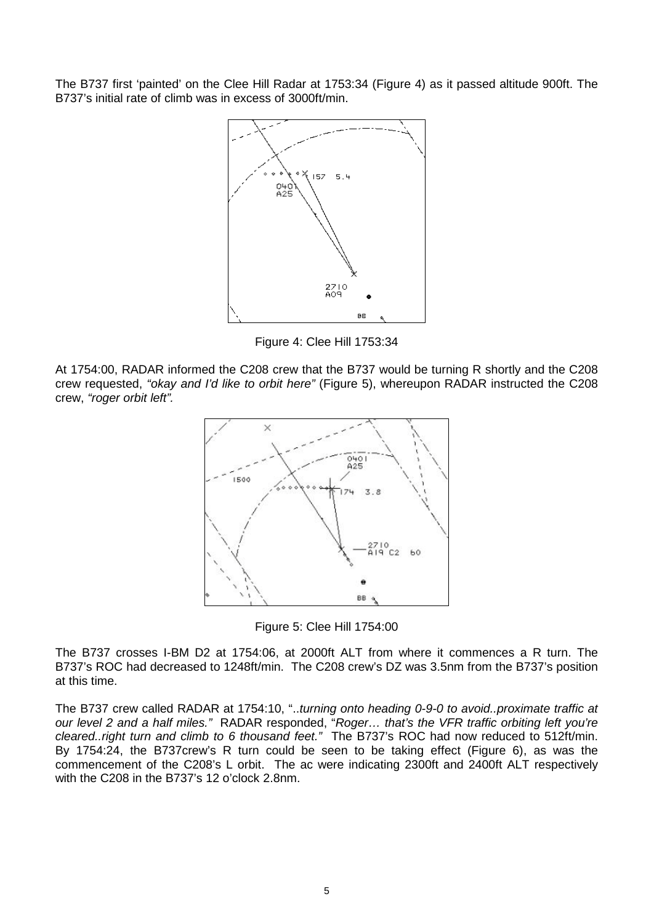The B737 first 'painted' on the Clee Hill Radar at 1753:34 (Figure 4) as it passed altitude 900ft. The B737's initial rate of climb was in excess of 3000ft/min.



Figure 4: Clee Hill 1753:34

At 1754:00, RADAR informed the C208 crew that the B737 would be turning R shortly and the C208 crew requested, *"okay and I'd like to orbit here"* (Figure 5), whereupon RADAR instructed the C208 crew, *"roger orbit left".*



Figure 5: Clee Hill 1754:00

The B737 crosses I-BM D2 at 1754:06, at 2000ft ALT from where it commences a R turn. The B737's ROC had decreased to 1248ft/min. The C208 crew's DZ was 3.5nm from the B737's position at this time.

The B737 crew called RADAR at 1754:10, "..*turning onto heading 0-9-0 to avoid..proximate traffic at our level 2 and a half miles."* RADAR responded, "*Roger… that's the VFR traffic orbiting left you're cleared..right turn and climb to 6 thousand feet."* The B737's ROC had now reduced to 512ft/min. By 1754:24, the B737crew's R turn could be seen to be taking effect (Figure 6), as was the commencement of the C208's L orbit. The ac were indicating 2300ft and 2400ft ALT respectively with the C208 in the B737's 12 o'clock 2.8nm.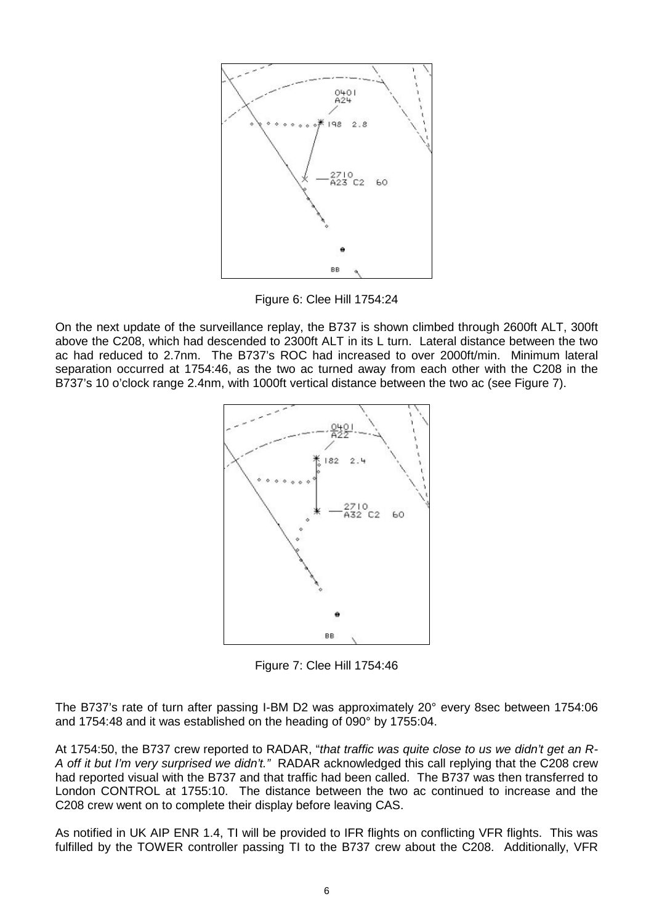

Figure 6: Clee Hill 1754:24

On the next update of the surveillance replay, the B737 is shown climbed through 2600ft ALT, 300ft above the C208, which had descended to 2300ft ALT in its L turn. Lateral distance between the two ac had reduced to 2.7nm. The B737's ROC had increased to over 2000ft/min. Minimum lateral separation occurred at 1754:46, as the two ac turned away from each other with the C208 in the B737's 10 o'clock range 2.4nm, with 1000ft vertical distance between the two ac (see Figure 7).



Figure 7: Clee Hill 1754:46

The B737's rate of turn after passing I-BM D2 was approximately 20° every 8sec between 1754:06 and 1754:48 and it was established on the heading of 090° by 1755:04.

At 1754:50, the B737 crew reported to RADAR, "*that traffic was quite close to us we didn't get an R-A off it but I'm very surprised we didn't."* RADAR acknowledged this call replying that the C208 crew had reported visual with the B737 and that traffic had been called. The B737 was then transferred to London CONTROL at 1755:10. The distance between the two ac continued to increase and the C208 crew went on to complete their display before leaving CAS.

As notified in UK AIP ENR 1.4, TI will be provided to IFR flights on conflicting VFR flights. This was fulfilled by the TOWER controller passing TI to the B737 crew about the C208. Additionally, VFR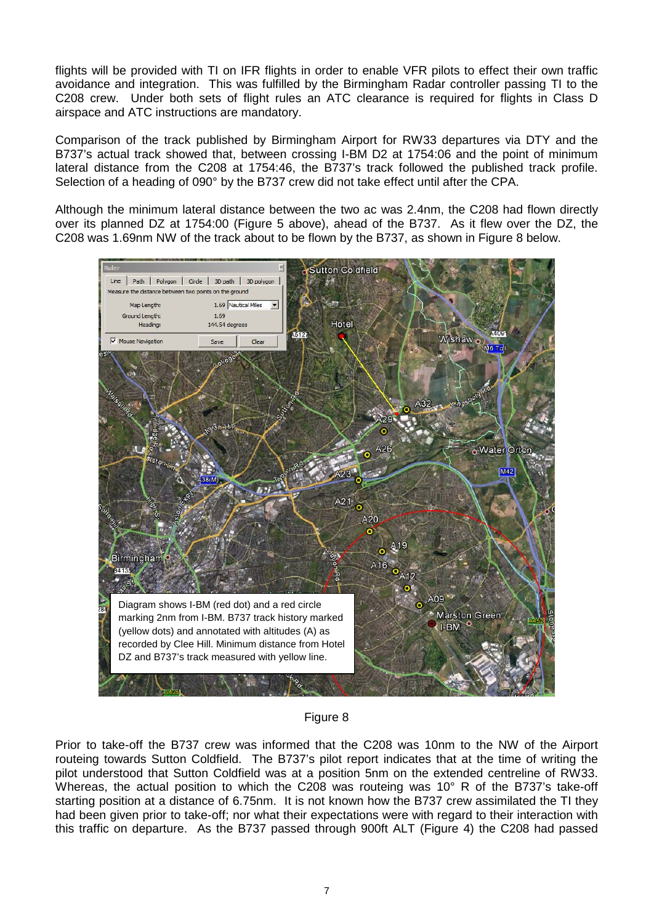flights will be provided with TI on IFR flights in order to enable VFR pilots to effect their own traffic avoidance and integration. This was fulfilled by the Birmingham Radar controller passing TI to the C208 crew. Under both sets of flight rules an ATC clearance is required for flights in Class D airspace and ATC instructions are mandatory.

Comparison of the track published by Birmingham Airport for RW33 departures via DTY and the B737's actual track showed that, between crossing I-BM D2 at 1754:06 and the point of minimum lateral distance from the C208 at 1754:46, the B737's track followed the published track profile. Selection of a heading of 090° by the B737 crew did not take effect until after the CPA.

Although the minimum lateral distance between the two ac was 2.4nm, the C208 had flown directly over its planned DZ at 1754:00 (Figure 5 above), ahead of the B737. As it flew over the DZ, the C208 was 1.69nm NW of the track about to be flown by the B737, as shown in Figure 8 below.



Figure 8

Prior to take-off the B737 crew was informed that the C208 was 10nm to the NW of the Airport routeing towards Sutton Coldfield. The B737's pilot report indicates that at the time of writing the pilot understood that Sutton Coldfield was at a position 5nm on the extended centreline of RW33. Whereas, the actual position to which the C208 was routeing was 10° R of the B737's take-off starting position at a distance of 6.75nm. It is not known how the B737 crew assimilated the TI they had been given prior to take-off; nor what their expectations were with regard to their interaction with this traffic on departure. As the B737 passed through 900ft ALT (Figure 4) the C208 had passed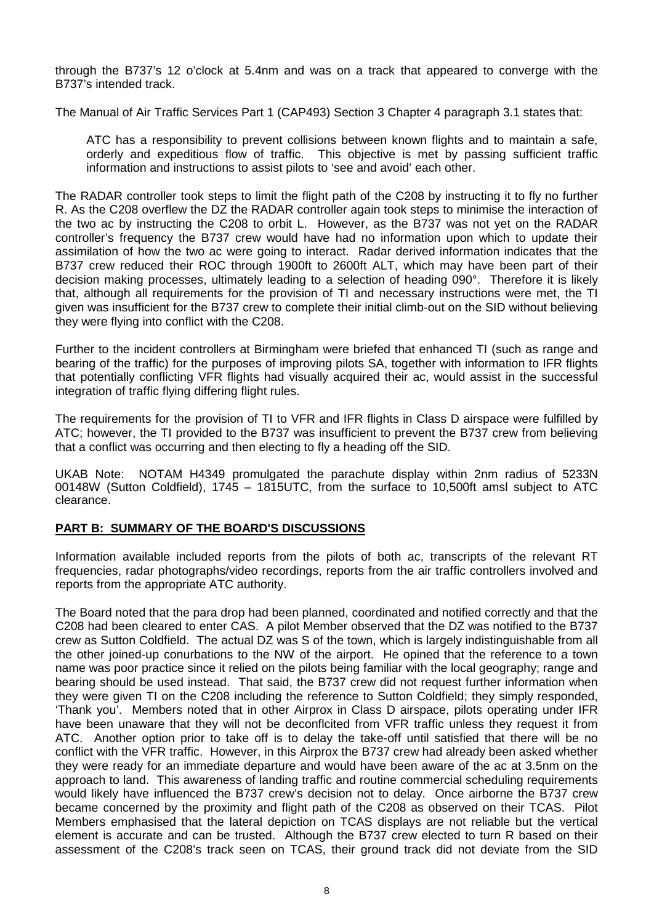through the B737's 12 o'clock at 5.4nm and was on a track that appeared to converge with the B737's intended track.

The Manual of Air Traffic Services Part 1 (CAP493) Section 3 Chapter 4 paragraph 3.1 states that:

ATC has a responsibility to prevent collisions between known flights and to maintain a safe, orderly and expeditious flow of traffic. This objective is met by passing sufficient traffic information and instructions to assist pilots to 'see and avoid' each other.

The RADAR controller took steps to limit the flight path of the C208 by instructing it to fly no further R. As the C208 overflew the DZ the RADAR controller again took steps to minimise the interaction of the two ac by instructing the C208 to orbit L. However, as the B737 was not yet on the RADAR controller's frequency the B737 crew would have had no information upon which to update their assimilation of how the two ac were going to interact. Radar derived information indicates that the B737 crew reduced their ROC through 1900ft to 2600ft ALT, which may have been part of their decision making processes, ultimately leading to a selection of heading 090°. Therefore it is likely that, although all requirements for the provision of TI and necessary instructions were met, the TI given was insufficient for the B737 crew to complete their initial climb-out on the SID without believing they were flying into conflict with the C208.

Further to the incident controllers at Birmingham were briefed that enhanced TI (such as range and bearing of the traffic) for the purposes of improving pilots SA, together with information to IFR flights that potentially conflicting VFR flights had visually acquired their ac, would assist in the successful integration of traffic flying differing flight rules.

The requirements for the provision of TI to VFR and IFR flights in Class D airspace were fulfilled by ATC; however, the TI provided to the B737 was insufficient to prevent the B737 crew from believing that a conflict was occurring and then electing to fly a heading off the SID.

UKAB Note: NOTAM H4349 promulgated the parachute display within 2nm radius of 5233N 00148W (Sutton Coldfield), 1745 – 1815UTC, from the surface to 10,500ft amsl subject to ATC clearance.

## **PART B: SUMMARY OF THE BOARD'S DISCUSSIONS**

Information available included reports from the pilots of both ac, transcripts of the relevant RT frequencies, radar photographs/video recordings, reports from the air traffic controllers involved and reports from the appropriate ATC authority.

The Board noted that the para drop had been planned, coordinated and notified correctly and that the C208 had been cleared to enter CAS. A pilot Member observed that the DZ was notified to the B737 crew as Sutton Coldfield. The actual DZ was S of the town, which is largely indistinguishable from all the other joined-up conurbations to the NW of the airport. He opined that the reference to a town name was poor practice since it relied on the pilots being familiar with the local geography; range and bearing should be used instead. That said, the B737 crew did not request further information when they were given TI on the C208 including the reference to Sutton Coldfield; they simply responded, 'Thank you'. Members noted that in other Airprox in Class D airspace, pilots operating under IFR have been unaware that they will not be deconflcited from VFR traffic unless they request it from ATC. Another option prior to take off is to delay the take-off until satisfied that there will be no conflict with the VFR traffic. However, in this Airprox the B737 crew had already been asked whether they were ready for an immediate departure and would have been aware of the ac at 3.5nm on the approach to land. This awareness of landing traffic and routine commercial scheduling requirements would likely have influenced the B737 crew's decision not to delay. Once airborne the B737 crew became concerned by the proximity and flight path of the C208 as observed on their TCAS. Pilot Members emphasised that the lateral depiction on TCAS displays are not reliable but the vertical element is accurate and can be trusted. Although the B737 crew elected to turn R based on their assessment of the C208's track seen on TCAS, their ground track did not deviate from the SID